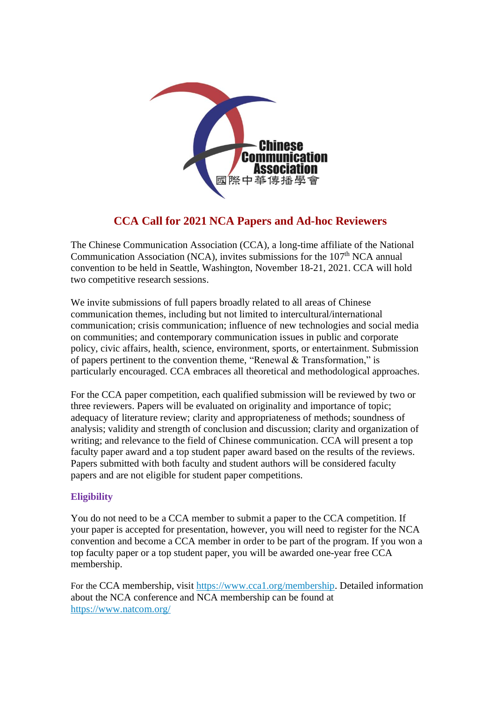

# **CCA Call for 2021 NCA Papers and Ad-hoc Reviewers**

The Chinese Communication Association (CCA), a long-time affiliate of the National Communication Association (NCA), invites submissions for the 107<sup>th</sup> NCA annual convention to be held in Seattle, Washington, November 18-21, 2021. CCA will hold two competitive research sessions.

We invite submissions of full papers broadly related to all areas of Chinese communication themes, including but not limited to intercultural/international communication; crisis communication; influence of new technologies and social media on communities; and contemporary communication issues in public and corporate policy, civic affairs, health, science, environment, sports, or entertainment. Submission of papers pertinent to the convention theme, "Renewal & Transformation," is particularly encouraged. CCA embraces all theoretical and methodological approaches.

For the CCA paper competition, each qualified submission will be reviewed by two or three reviewers. Papers will be evaluated on originality and importance of topic; adequacy of literature review; clarity and appropriateness of methods; soundness of analysis; validity and strength of conclusion and discussion; clarity and organization of writing; and relevance to the field of Chinese communication. CCA will present a top faculty paper award and a top student paper award based on the results of the reviews. Papers submitted with both faculty and student authors will be considered faculty papers and are not eligible for student paper competitions.

## **Eligibility**

You do not need to be a CCA member to submit a paper to the CCA competition. If your paper is accepted for presentation, however, you will need to register for the NCA convention and become a CCA member in order to be part of the program. If you won a top faculty paper or a top student paper, you will be awarded one-year free CCA membership.

For the CCA membership, visit [https://www.cca1.org/membership.](https://www.cca1.org/membership) Detailed information about the NCA conference and NCA membership can be found at <https://www.natcom.org/>